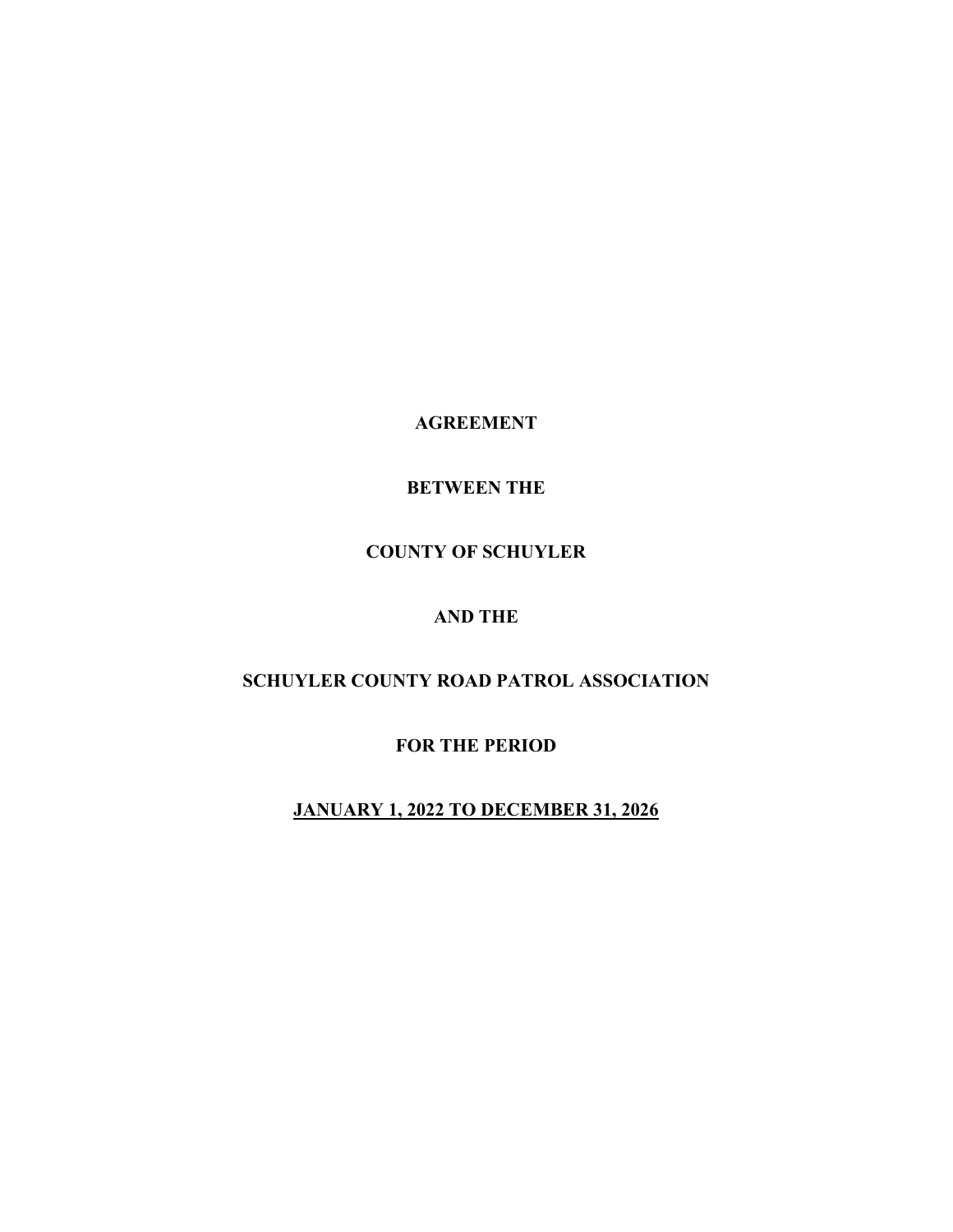**AGREEMENT** 

**BETWEEN THE** 

# **COUNTY OF SCHUYLER**

# **AND THE**

# **SCHUYLER COUNTY ROAD PATROL ASSOCIATION**

**FOR THE PERIOD** 

**JANUARY 1, 2022 TO DECEMBER 31, 2026**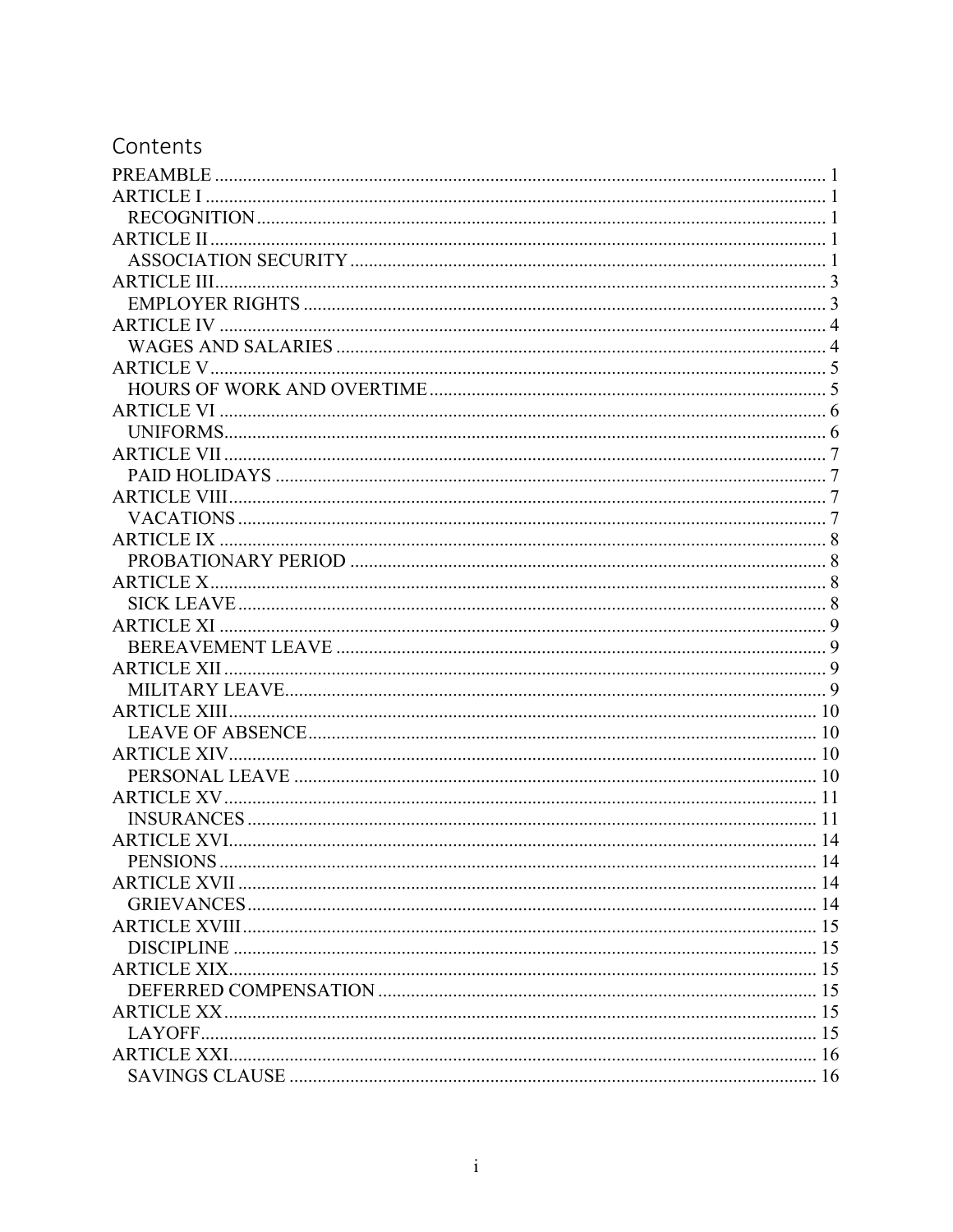# Contents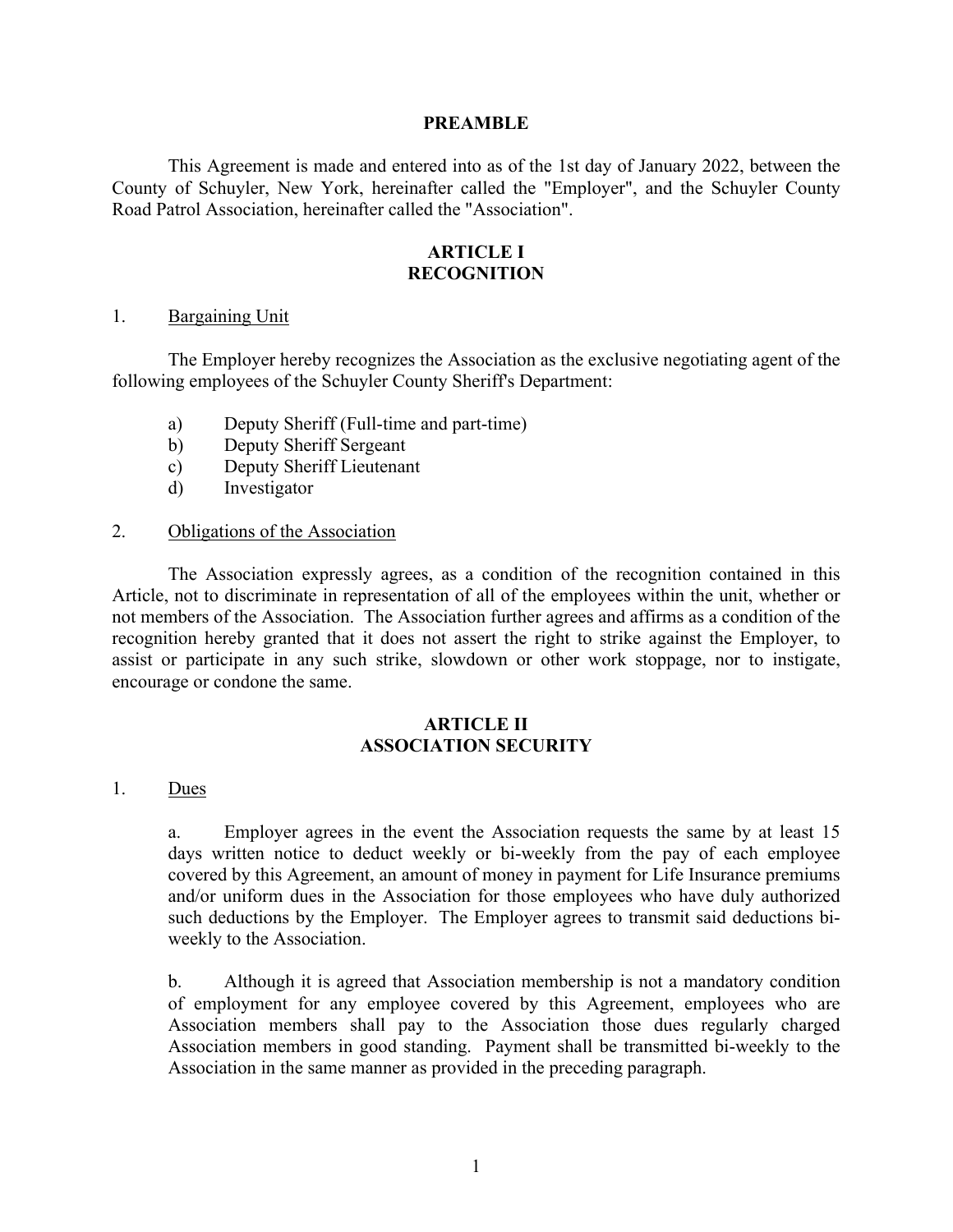#### **PREAMBLE**

 This Agreement is made and entered into as of the 1st day of January 2022, between the County of Schuyler, New York, hereinafter called the "Employer", and the Schuyler County Road Patrol Association, hereinafter called the "Association".

# **ARTICLE I RECOGNITION**

#### 1. Bargaining Unit

 The Employer hereby recognizes the Association as the exclusive negotiating agent of the following employees of the Schuyler County Sheriff's Department:

- a) Deputy Sheriff (Full-time and part-time)
- b) Deputy Sheriff Sergeant
- c) Deputy Sheriff Lieutenant
- d) Investigator

#### 2. Obligations of the Association

 The Association expressly agrees, as a condition of the recognition contained in this Article, not to discriminate in representation of all of the employees within the unit, whether or not members of the Association. The Association further agrees and affirms as a condition of the recognition hereby granted that it does not assert the right to strike against the Employer, to assist or participate in any such strike, slowdown or other work stoppage, nor to instigate, encourage or condone the same.

#### **ARTICLE II ASSOCIATION SECURITY**

#### 1. Dues

a. Employer agrees in the event the Association requests the same by at least 15 days written notice to deduct weekly or bi-weekly from the pay of each employee covered by this Agreement, an amount of money in payment for Life Insurance premiums and/or uniform dues in the Association for those employees who have duly authorized such deductions by the Employer. The Employer agrees to transmit said deductions biweekly to the Association.

b. Although it is agreed that Association membership is not a mandatory condition of employment for any employee covered by this Agreement, employees who are Association members shall pay to the Association those dues regularly charged Association members in good standing. Payment shall be transmitted bi-weekly to the Association in the same manner as provided in the preceding paragraph.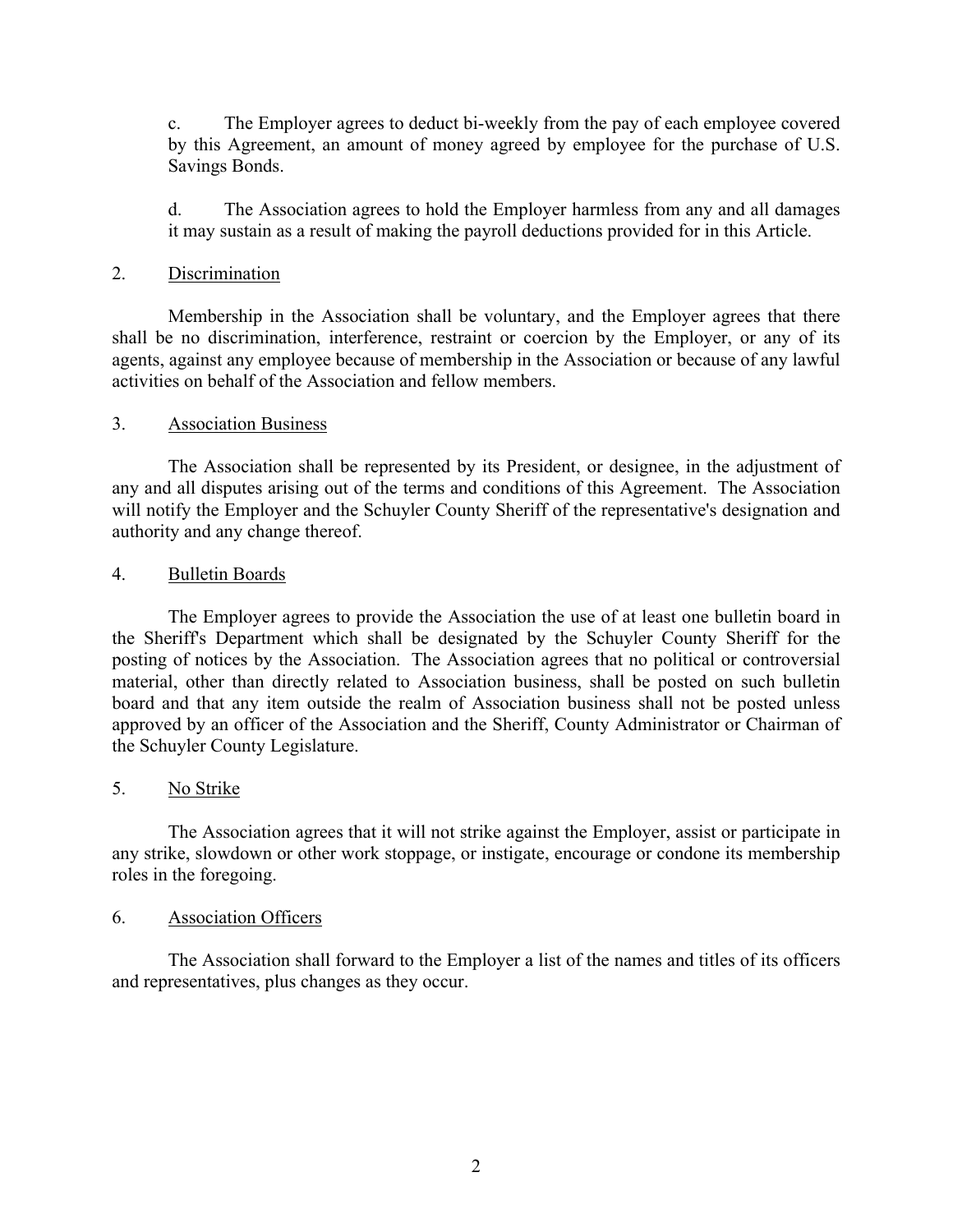c. The Employer agrees to deduct bi-weekly from the pay of each employee covered by this Agreement, an amount of money agreed by employee for the purchase of U.S. Savings Bonds.

d. The Association agrees to hold the Employer harmless from any and all damages it may sustain as a result of making the payroll deductions provided for in this Article.

# 2. Discrimination

 Membership in the Association shall be voluntary, and the Employer agrees that there shall be no discrimination, interference, restraint or coercion by the Employer, or any of its agents, against any employee because of membership in the Association or because of any lawful activities on behalf of the Association and fellow members.

# 3. Association Business

 The Association shall be represented by its President, or designee, in the adjustment of any and all disputes arising out of the terms and conditions of this Agreement. The Association will notify the Employer and the Schuyler County Sheriff of the representative's designation and authority and any change thereof.

# 4. Bulletin Boards

 The Employer agrees to provide the Association the use of at least one bulletin board in the Sheriff's Department which shall be designated by the Schuyler County Sheriff for the posting of notices by the Association. The Association agrees that no political or controversial material, other than directly related to Association business, shall be posted on such bulletin board and that any item outside the realm of Association business shall not be posted unless approved by an officer of the Association and the Sheriff, County Administrator or Chairman of the Schuyler County Legislature.

# 5. No Strike

 The Association agrees that it will not strike against the Employer, assist or participate in any strike, slowdown or other work stoppage, or instigate, encourage or condone its membership roles in the foregoing.

# 6. Association Officers

 The Association shall forward to the Employer a list of the names and titles of its officers and representatives, plus changes as they occur.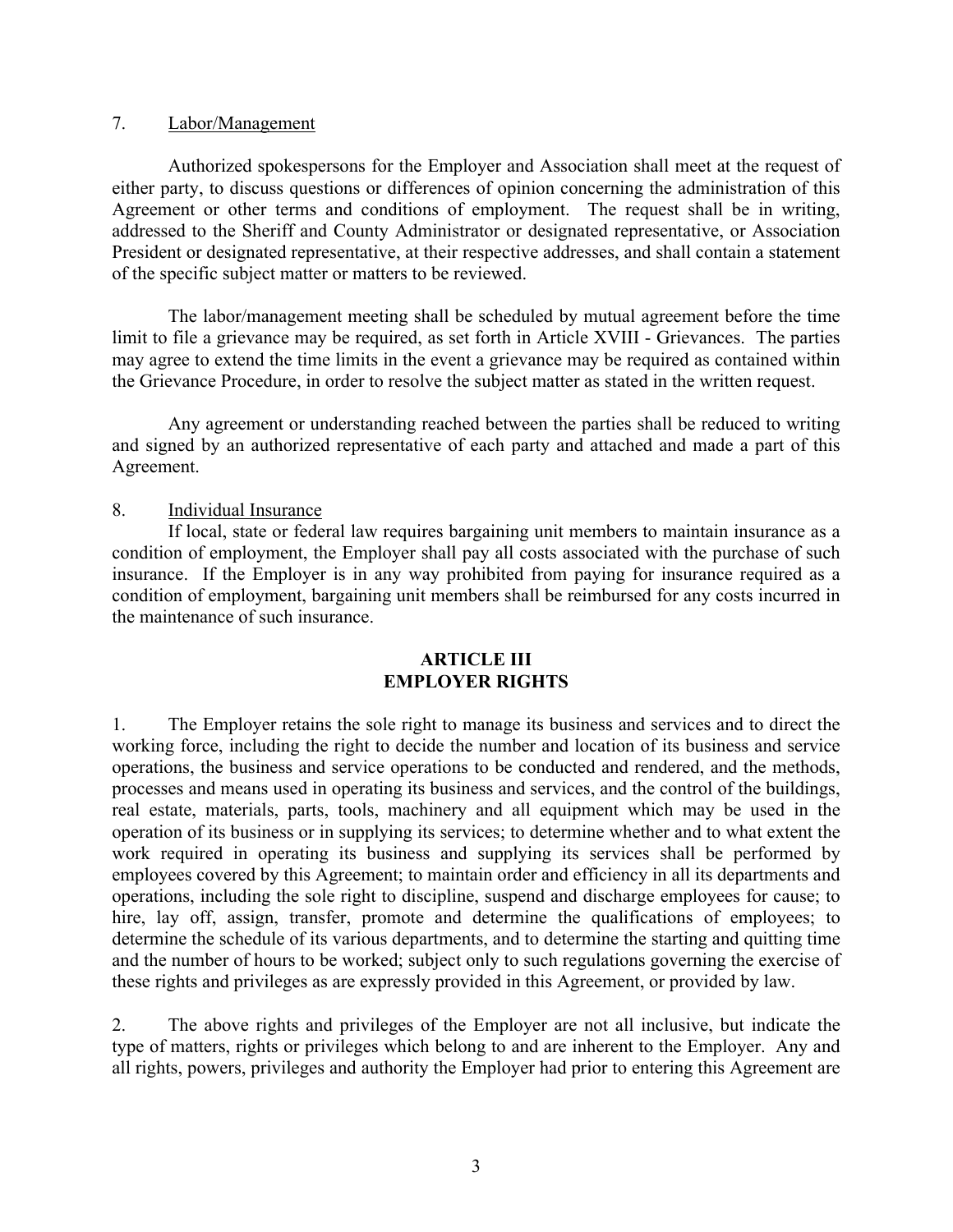#### 7. Labor/Management

 Authorized spokespersons for the Employer and Association shall meet at the request of either party, to discuss questions or differences of opinion concerning the administration of this Agreement or other terms and conditions of employment. The request shall be in writing, addressed to the Sheriff and County Administrator or designated representative, or Association President or designated representative, at their respective addresses, and shall contain a statement of the specific subject matter or matters to be reviewed.

 The labor/management meeting shall be scheduled by mutual agreement before the time limit to file a grievance may be required, as set forth in Article XVIII - Grievances. The parties may agree to extend the time limits in the event a grievance may be required as contained within the Grievance Procedure, in order to resolve the subject matter as stated in the written request.

 Any agreement or understanding reached between the parties shall be reduced to writing and signed by an authorized representative of each party and attached and made a part of this Agreement.

# 8. Individual Insurance

 If local, state or federal law requires bargaining unit members to maintain insurance as a condition of employment, the Employer shall pay all costs associated with the purchase of such insurance. If the Employer is in any way prohibited from paying for insurance required as a condition of employment, bargaining unit members shall be reimbursed for any costs incurred in the maintenance of such insurance.

# **ARTICLE III EMPLOYER RIGHTS**

1. The Employer retains the sole right to manage its business and services and to direct the working force, including the right to decide the number and location of its business and service operations, the business and service operations to be conducted and rendered, and the methods, processes and means used in operating its business and services, and the control of the buildings, real estate, materials, parts, tools, machinery and all equipment which may be used in the operation of its business or in supplying its services; to determine whether and to what extent the work required in operating its business and supplying its services shall be performed by employees covered by this Agreement; to maintain order and efficiency in all its departments and operations, including the sole right to discipline, suspend and discharge employees for cause; to hire, lay off, assign, transfer, promote and determine the qualifications of employees; to determine the schedule of its various departments, and to determine the starting and quitting time and the number of hours to be worked; subject only to such regulations governing the exercise of these rights and privileges as are expressly provided in this Agreement, or provided by law.

2. The above rights and privileges of the Employer are not all inclusive, but indicate the type of matters, rights or privileges which belong to and are inherent to the Employer. Any and all rights, powers, privileges and authority the Employer had prior to entering this Agreement are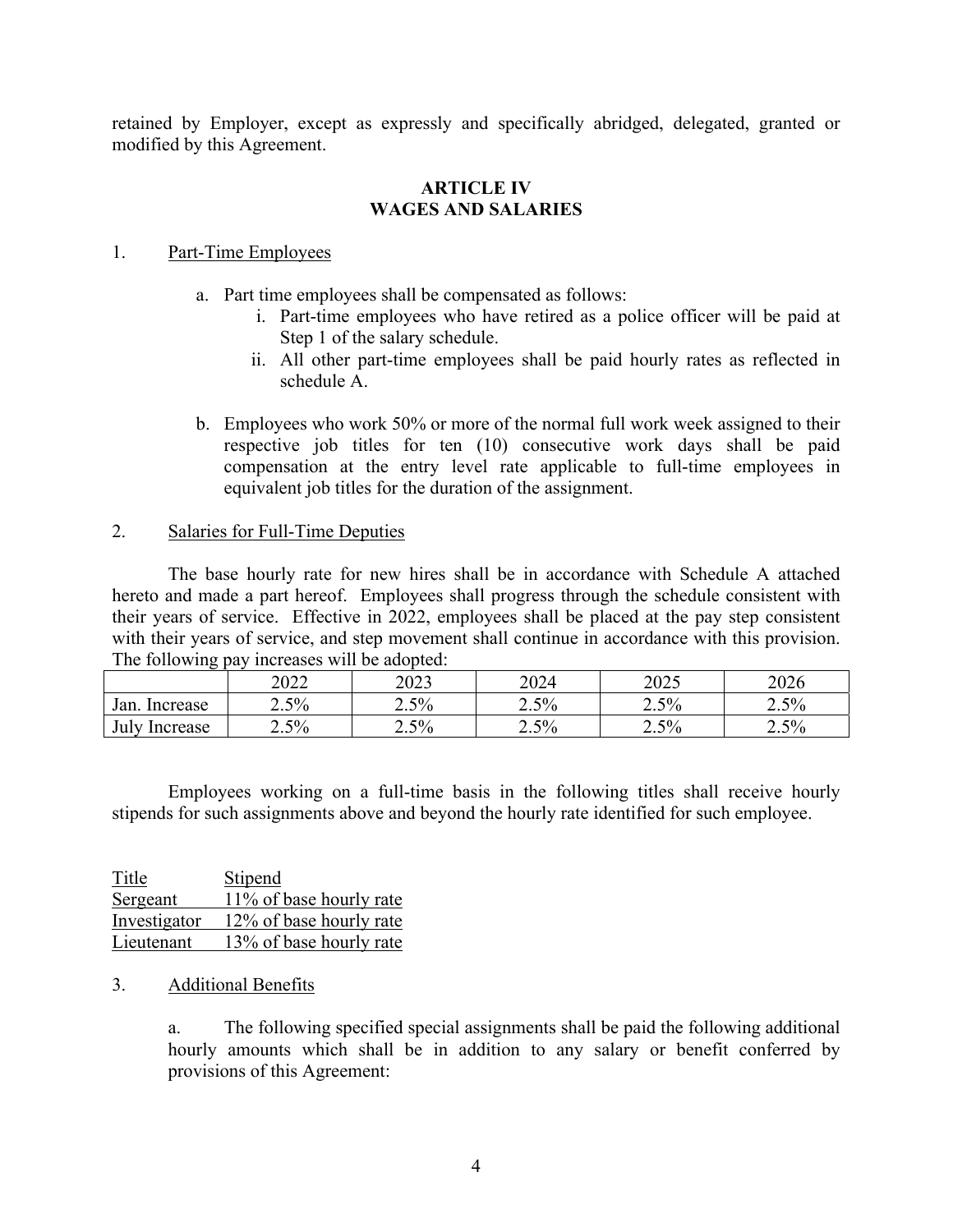retained by Employer, except as expressly and specifically abridged, delegated, granted or modified by this Agreement.

#### **ARTICLE IV WAGES AND SALARIES**

#### 1. Part-Time Employees

- a. Part time employees shall be compensated as follows:
	- i. Part-time employees who have retired as a police officer will be paid at Step 1 of the salary schedule.
	- ii. All other part-time employees shall be paid hourly rates as reflected in schedule A.
- b. Employees who work 50% or more of the normal full work week assigned to their respective job titles for ten (10) consecutive work days shall be paid compensation at the entry level rate applicable to full-time employees in equivalent job titles for the duration of the assignment.

# 2. Salaries for Full-Time Deputies

 The base hourly rate for new hires shall be in accordance with Schedule A attached hereto and made a part hereof. Employees shall progress through the schedule consistent with their years of service. Effective in 2022, employees shall be placed at the pay step consistent with their years of service, and step movement shall continue in accordance with this provision. The following pay increases will be adopted:

|                               | 2022 | า∩าว<br>2U23 | 2024 | 2025 | 2026    |
|-------------------------------|------|--------------|------|------|---------|
| Jan.<br>Increase              | 2.5% | 2.5%         | 2.5% | 2.5% | $2.5\%$ |
| July <sup>1</sup><br>Increase | 2.5% | 2.5%         | 2.5% | 2.5% | 2.5%    |

 Employees working on a full-time basis in the following titles shall receive hourly stipends for such assignments above and beyond the hourly rate identified for such employee.

| Title        | Stipend                 |
|--------------|-------------------------|
| Sergeant     | 11% of base hourly rate |
| Investigator | 12% of base hourly rate |
| Lieutenant   | 13% of base hourly rate |

# 3. Additional Benefits

a. The following specified special assignments shall be paid the following additional hourly amounts which shall be in addition to any salary or benefit conferred by provisions of this Agreement: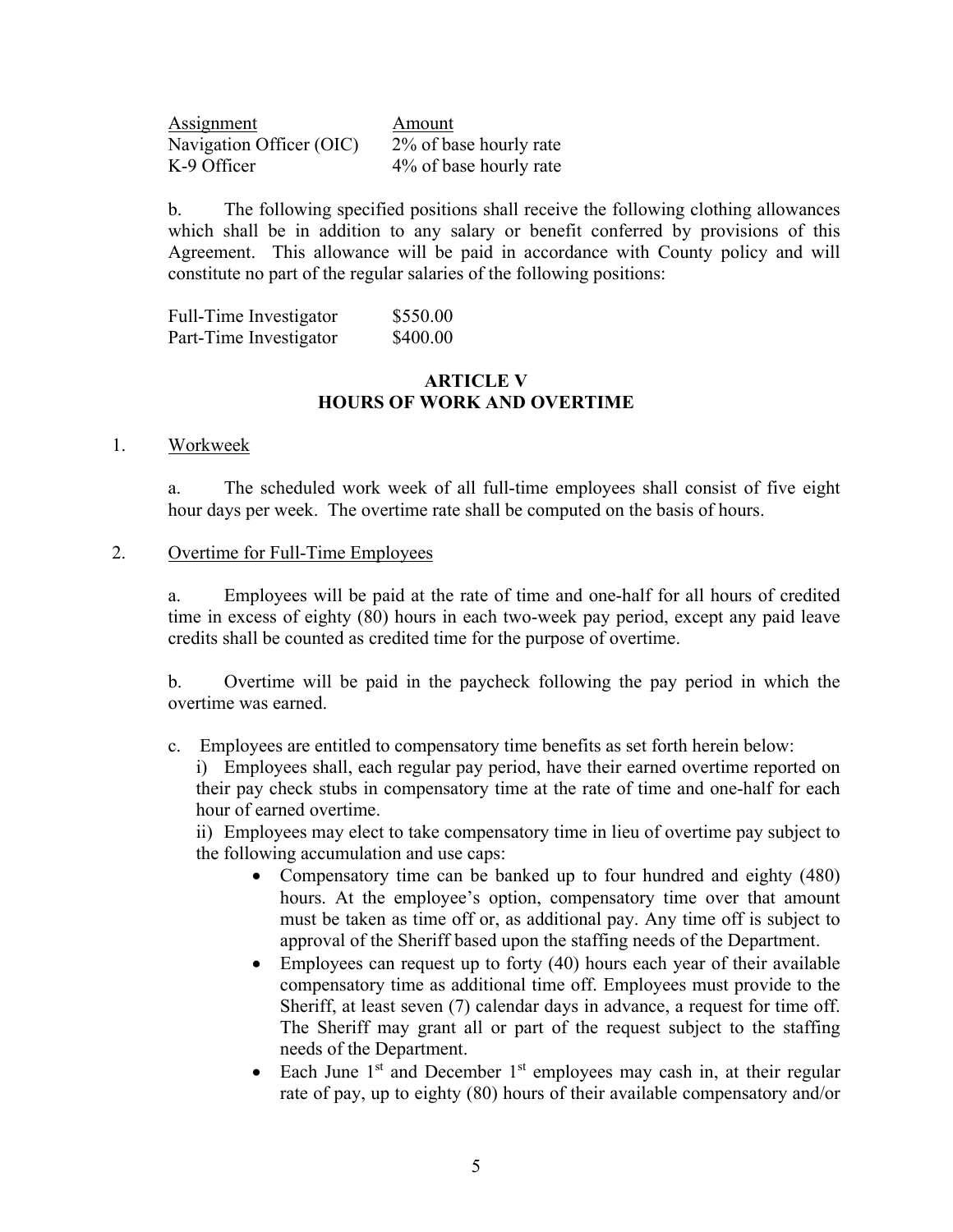Assignment Amount Navigation Officer (OIC) 2% of base hourly rate K-9 Officer 4% of base hourly rate

b. The following specified positions shall receive the following clothing allowances which shall be in addition to any salary or benefit conferred by provisions of this Agreement. This allowance will be paid in accordance with County policy and will constitute no part of the regular salaries of the following positions:

| Full-Time Investigator | \$550.00 |
|------------------------|----------|
| Part-Time Investigator | \$400.00 |

#### **ARTICLE V HOURS OF WORK AND OVERTIME**

#### 1. Workweek

a. The scheduled work week of all full-time employees shall consist of five eight hour days per week. The overtime rate shall be computed on the basis of hours.

#### 2. Overtime for Full-Time Employees

a. Employees will be paid at the rate of time and one-half for all hours of credited time in excess of eighty (80) hours in each two-week pay period, except any paid leave credits shall be counted as credited time for the purpose of overtime.

b. Overtime will be paid in the paycheck following the pay period in which the overtime was earned.

c. Employees are entitled to compensatory time benefits as set forth herein below:

i) Employees shall, each regular pay period, have their earned overtime reported on their pay check stubs in compensatory time at the rate of time and one-half for each hour of earned overtime.

ii) Employees may elect to take compensatory time in lieu of overtime pay subject to the following accumulation and use caps:

- Compensatory time can be banked up to four hundred and eighty (480) hours. At the employee's option, compensatory time over that amount must be taken as time off or, as additional pay. Any time off is subject to approval of the Sheriff based upon the staffing needs of the Department.
- Employees can request up to forty (40) hours each year of their available compensatory time as additional time off. Employees must provide to the Sheriff, at least seven (7) calendar days in advance, a request for time off. The Sheriff may grant all or part of the request subject to the staffing needs of the Department.
- Each June  $1<sup>st</sup>$  and December  $1<sup>st</sup>$  employees may cash in, at their regular rate of pay, up to eighty (80) hours of their available compensatory and/or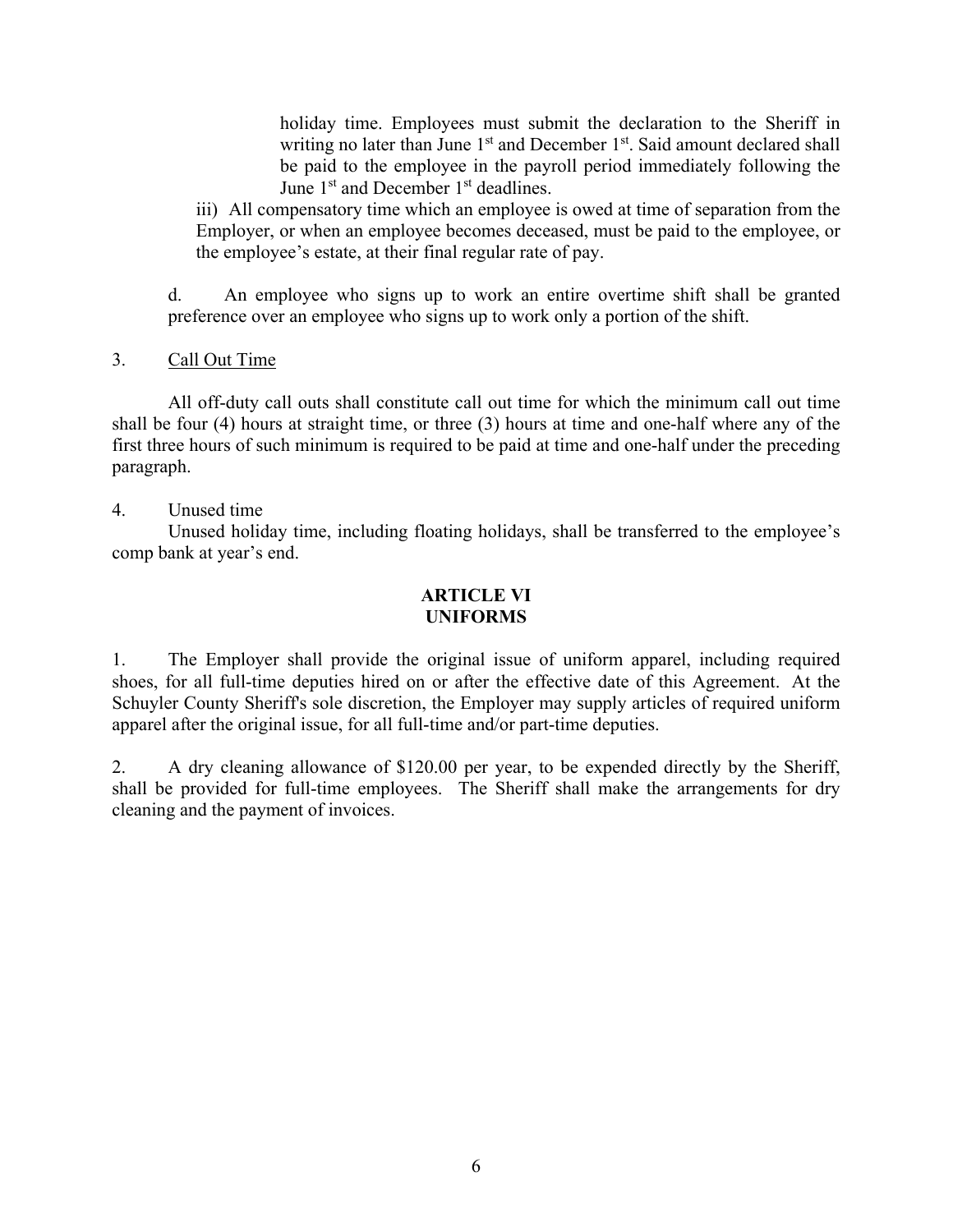holiday time. Employees must submit the declaration to the Sheriff in writing no later than June 1<sup>st</sup> and December 1<sup>st</sup>. Said amount declared shall be paid to the employee in the payroll period immediately following the June 1<sup>st</sup> and December 1<sup>st</sup> deadlines.

iii) All compensatory time which an employee is owed at time of separation from the Employer, or when an employee becomes deceased, must be paid to the employee, or the employee's estate, at their final regular rate of pay.

d. An employee who signs up to work an entire overtime shift shall be granted preference over an employee who signs up to work only a portion of the shift.

# 3. Call Out Time

 All off-duty call outs shall constitute call out time for which the minimum call out time shall be four (4) hours at straight time, or three (3) hours at time and one-half where any of the first three hours of such minimum is required to be paid at time and one-half under the preceding paragraph.

4. Unused time

 Unused holiday time, including floating holidays, shall be transferred to the employee's comp bank at year's end.

# **ARTICLE VI UNIFORMS**

1. The Employer shall provide the original issue of uniform apparel, including required shoes, for all full-time deputies hired on or after the effective date of this Agreement. At the Schuyler County Sheriff's sole discretion, the Employer may supply articles of required uniform apparel after the original issue, for all full-time and/or part-time deputies.

2. A dry cleaning allowance of \$120.00 per year, to be expended directly by the Sheriff, shall be provided for full-time employees. The Sheriff shall make the arrangements for dry cleaning and the payment of invoices.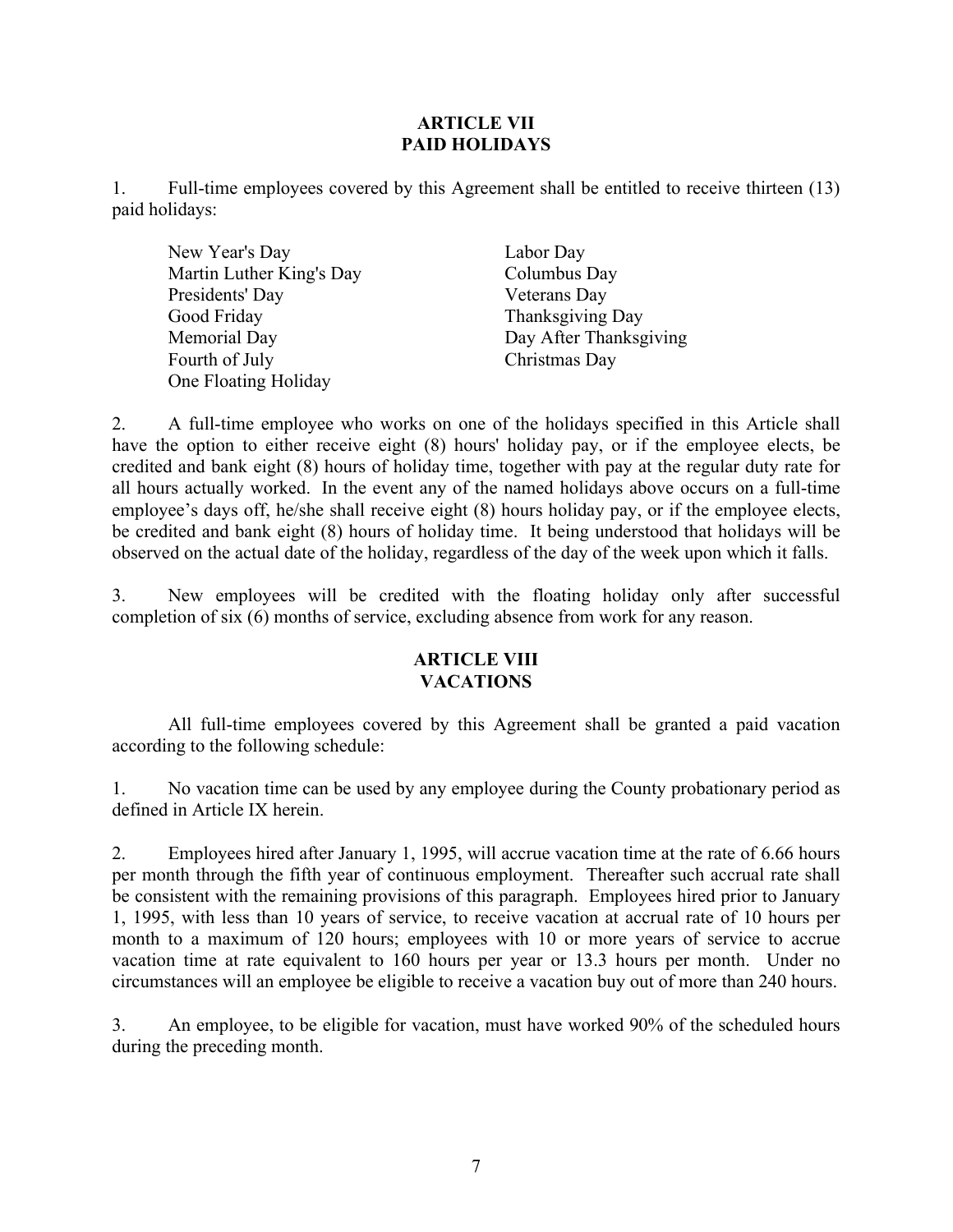# **ARTICLE VII PAID HOLIDAYS**

1. Full-time employees covered by this Agreement shall be entitled to receive thirteen (13) paid holidays:

 New Year's Day Labor Day Martin Luther King's Day Columbus Day Presidents' Day Veterans Day Good Friday Thanksgiving Day Memorial Day **Day After Thanksgiving** Fourth of July **Christmas Day** One Floating Holiday

2. A full-time employee who works on one of the holidays specified in this Article shall have the option to either receive eight (8) hours' holiday pay, or if the employee elects, be credited and bank eight (8) hours of holiday time, together with pay at the regular duty rate for all hours actually worked. In the event any of the named holidays above occurs on a full-time employee's days off, he/she shall receive eight (8) hours holiday pay, or if the employee elects, be credited and bank eight (8) hours of holiday time. It being understood that holidays will be observed on the actual date of the holiday, regardless of the day of the week upon which it falls.

3. New employees will be credited with the floating holiday only after successful completion of six (6) months of service, excluding absence from work for any reason.

# **ARTICLE VIII VACATIONS**

 All full-time employees covered by this Agreement shall be granted a paid vacation according to the following schedule:

1. No vacation time can be used by any employee during the County probationary period as defined in Article IX herein.

2. Employees hired after January 1, 1995, will accrue vacation time at the rate of 6.66 hours per month through the fifth year of continuous employment. Thereafter such accrual rate shall be consistent with the remaining provisions of this paragraph. Employees hired prior to January 1, 1995, with less than 10 years of service, to receive vacation at accrual rate of 10 hours per month to a maximum of 120 hours; employees with 10 or more years of service to accrue vacation time at rate equivalent to 160 hours per year or 13.3 hours per month. Under no circumstances will an employee be eligible to receive a vacation buy out of more than 240 hours.

3. An employee, to be eligible for vacation, must have worked 90% of the scheduled hours during the preceding month.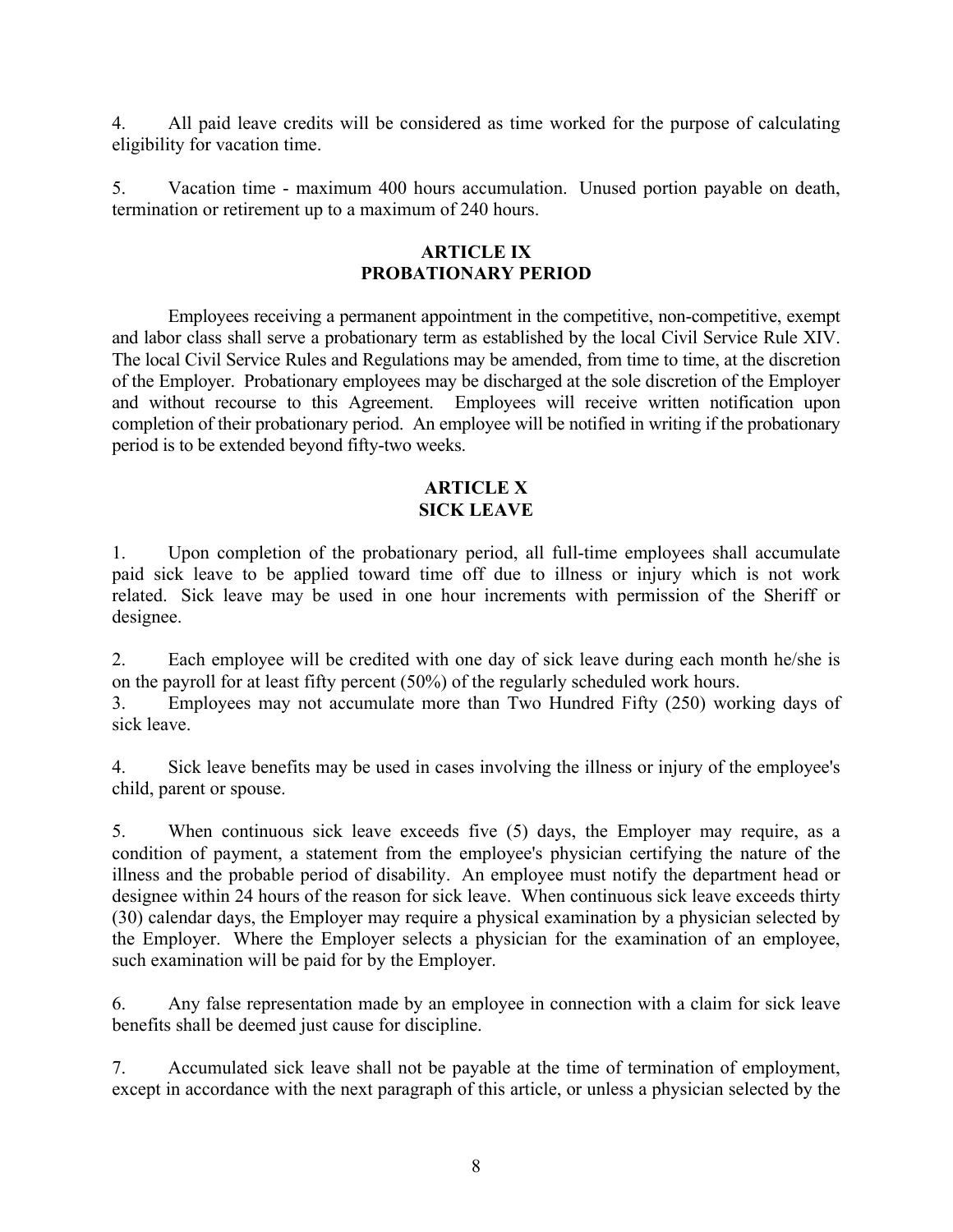4. All paid leave credits will be considered as time worked for the purpose of calculating eligibility for vacation time.

5. Vacation time - maximum 400 hours accumulation. Unused portion payable on death, termination or retirement up to a maximum of 240 hours.

# **ARTICLE IX PROBATIONARY PERIOD**

 Employees receiving a permanent appointment in the competitive, non-competitive, exempt and labor class shall serve a probationary term as established by the local Civil Service Rule XIV. The local Civil Service Rules and Regulations may be amended, from time to time, at the discretion of the Employer. Probationary employees may be discharged at the sole discretion of the Employer and without recourse to this Agreement. Employees will receive written notification upon completion of their probationary period. An employee will be notified in writing if the probationary period is to be extended beyond fifty-two weeks.

# **ARTICLE X SICK LEAVE**

1. Upon completion of the probationary period, all full-time employees shall accumulate paid sick leave to be applied toward time off due to illness or injury which is not work related. Sick leave may be used in one hour increments with permission of the Sheriff or designee.

2. Each employee will be credited with one day of sick leave during each month he/she is on the payroll for at least fifty percent (50%) of the regularly scheduled work hours.

3. Employees may not accumulate more than Two Hundred Fifty (250) working days of sick leave.

4. Sick leave benefits may be used in cases involving the illness or injury of the employee's child, parent or spouse.

5. When continuous sick leave exceeds five (5) days, the Employer may require, as a condition of payment, a statement from the employee's physician certifying the nature of the illness and the probable period of disability. An employee must notify the department head or designee within 24 hours of the reason for sick leave. When continuous sick leave exceeds thirty (30) calendar days, the Employer may require a physical examination by a physician selected by the Employer. Where the Employer selects a physician for the examination of an employee, such examination will be paid for by the Employer.

6. Any false representation made by an employee in connection with a claim for sick leave benefits shall be deemed just cause for discipline.

7. Accumulated sick leave shall not be payable at the time of termination of employment, except in accordance with the next paragraph of this article, or unless a physician selected by the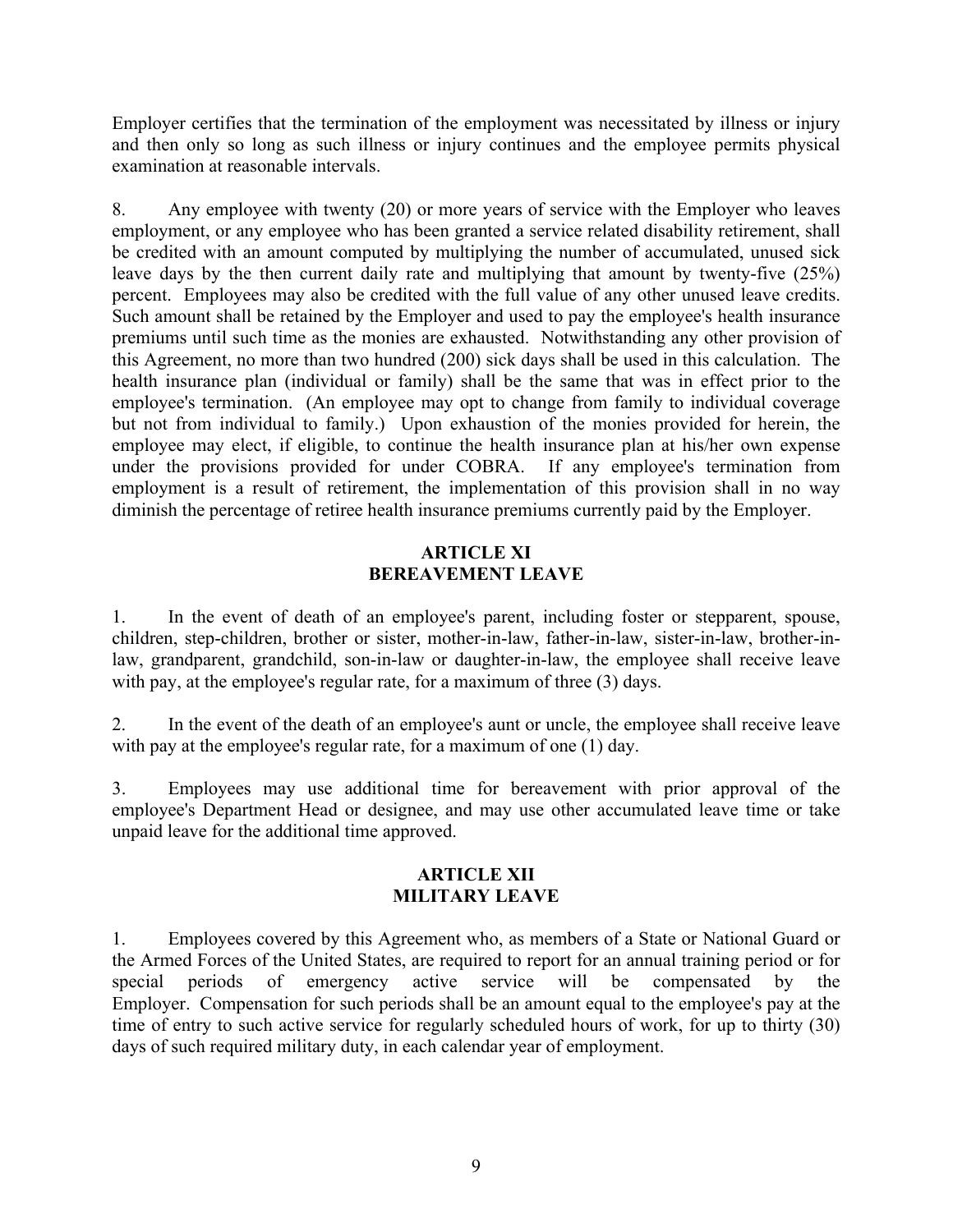Employer certifies that the termination of the employment was necessitated by illness or injury and then only so long as such illness or injury continues and the employee permits physical examination at reasonable intervals.

8. Any employee with twenty (20) or more years of service with the Employer who leaves employment, or any employee who has been granted a service related disability retirement, shall be credited with an amount computed by multiplying the number of accumulated, unused sick leave days by the then current daily rate and multiplying that amount by twenty-five (25%) percent. Employees may also be credited with the full value of any other unused leave credits. Such amount shall be retained by the Employer and used to pay the employee's health insurance premiums until such time as the monies are exhausted. Notwithstanding any other provision of this Agreement, no more than two hundred (200) sick days shall be used in this calculation. The health insurance plan (individual or family) shall be the same that was in effect prior to the employee's termination. (An employee may opt to change from family to individual coverage but not from individual to family.) Upon exhaustion of the monies provided for herein, the employee may elect, if eligible, to continue the health insurance plan at his/her own expense under the provisions provided for under COBRA. If any employee's termination from employment is a result of retirement, the implementation of this provision shall in no way diminish the percentage of retiree health insurance premiums currently paid by the Employer.

# **ARTICLE XI BEREAVEMENT LEAVE**

1. In the event of death of an employee's parent, including foster or stepparent, spouse, children, step-children, brother or sister, mother-in-law, father-in-law, sister-in-law, brother-inlaw, grandparent, grandchild, son-in-law or daughter-in-law, the employee shall receive leave with pay, at the employee's regular rate, for a maximum of three (3) days.

2. In the event of the death of an employee's aunt or uncle, the employee shall receive leave with pay at the employee's regular rate, for a maximum of one (1) day.

3. Employees may use additional time for bereavement with prior approval of the employee's Department Head or designee, and may use other accumulated leave time or take unpaid leave for the additional time approved.

# **ARTICLE XII MILITARY LEAVE**

1. Employees covered by this Agreement who, as members of a State or National Guard or the Armed Forces of the United States, are required to report for an annual training period or for special periods of emergency active service will be compensated by the Employer. Compensation for such periods shall be an amount equal to the employee's pay at the time of entry to such active service for regularly scheduled hours of work, for up to thirty (30) days of such required military duty, in each calendar year of employment.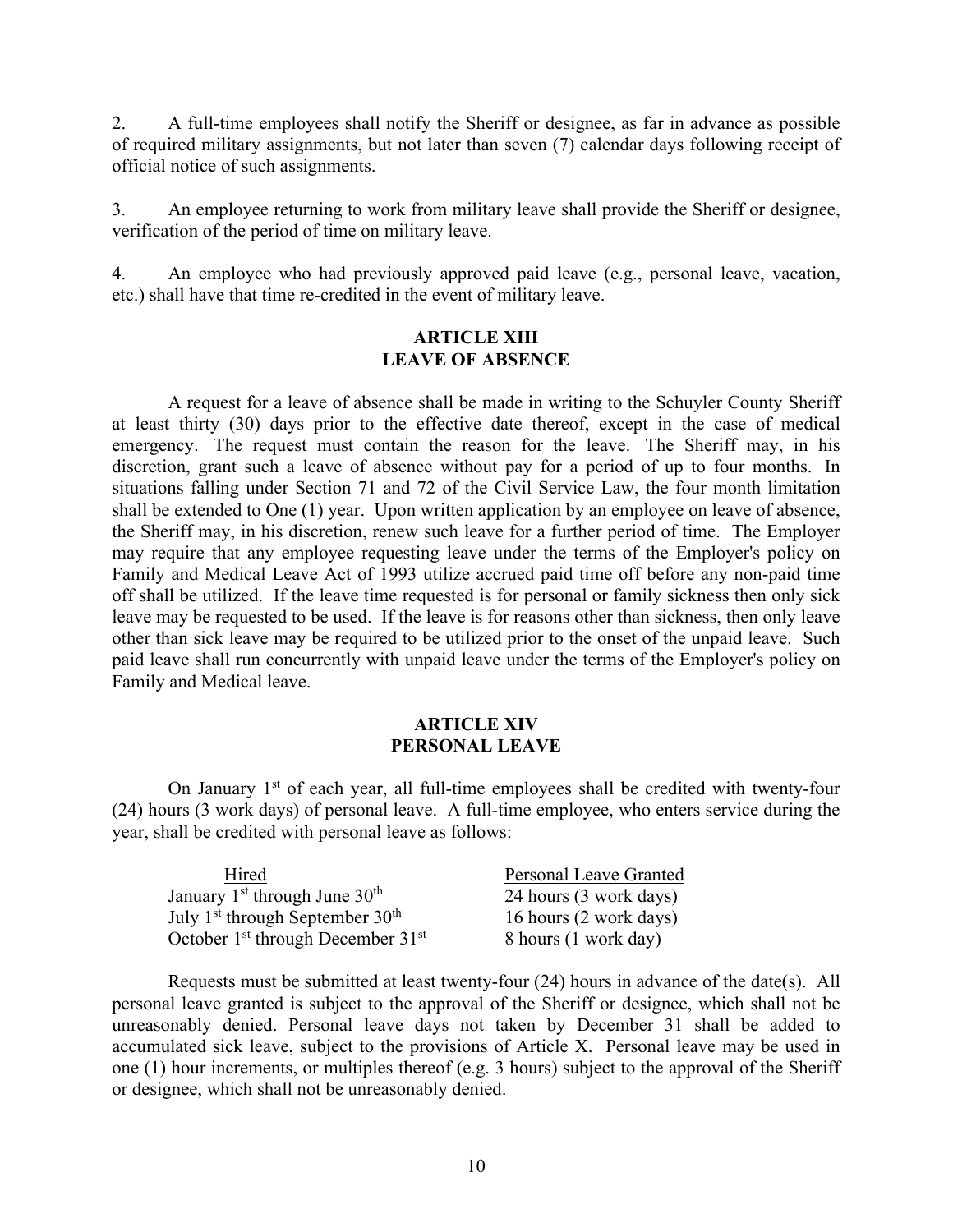2. A full-time employees shall notify the Sheriff or designee, as far in advance as possible of required military assignments, but not later than seven (7) calendar days following receipt of official notice of such assignments.

3. An employee returning to work from military leave shall provide the Sheriff or designee, verification of the period of time on military leave.

4. An employee who had previously approved paid leave (e.g., personal leave, vacation, etc.) shall have that time re-credited in the event of military leave.

#### **ARTICLE XIII LEAVE OF ABSENCE**

 A request for a leave of absence shall be made in writing to the Schuyler County Sheriff at least thirty (30) days prior to the effective date thereof, except in the case of medical emergency. The request must contain the reason for the leave. The Sheriff may, in his discretion, grant such a leave of absence without pay for a period of up to four months. In situations falling under Section 71 and 72 of the Civil Service Law, the four month limitation shall be extended to One (1) year. Upon written application by an employee on leave of absence, the Sheriff may, in his discretion, renew such leave for a further period of time. The Employer may require that any employee requesting leave under the terms of the Employer's policy on Family and Medical Leave Act of 1993 utilize accrued paid time off before any non-paid time off shall be utilized. If the leave time requested is for personal or family sickness then only sick leave may be requested to be used. If the leave is for reasons other than sickness, then only leave other than sick leave may be required to be utilized prior to the onset of the unpaid leave. Such paid leave shall run concurrently with unpaid leave under the terms of the Employer's policy on Family and Medical leave.

#### **ARTICLE XIV PERSONAL LEAVE**

On January  $1<sup>st</sup>$  of each year, all full-time employees shall be credited with twenty-four (24) hours (3 work days) of personal leave. A full-time employee, who enters service during the year, shall be credited with personal leave as follows:

| Hired                                 | Personal Leave Granted |
|---------------------------------------|------------------------|
| January $1st$ through June $30th$     | 24 hours (3 work days) |
| July $1st$ through September $30th$   | 16 hours (2 work days) |
| October $1st$ through December $31st$ | 8 hours (1 work day)   |

 Requests must be submitted at least twenty-four (24) hours in advance of the date(s). All personal leave granted is subject to the approval of the Sheriff or designee, which shall not be unreasonably denied. Personal leave days not taken by December 31 shall be added to accumulated sick leave, subject to the provisions of Article X. Personal leave may be used in one (1) hour increments, or multiples thereof (e.g. 3 hours) subject to the approval of the Sheriff or designee, which shall not be unreasonably denied.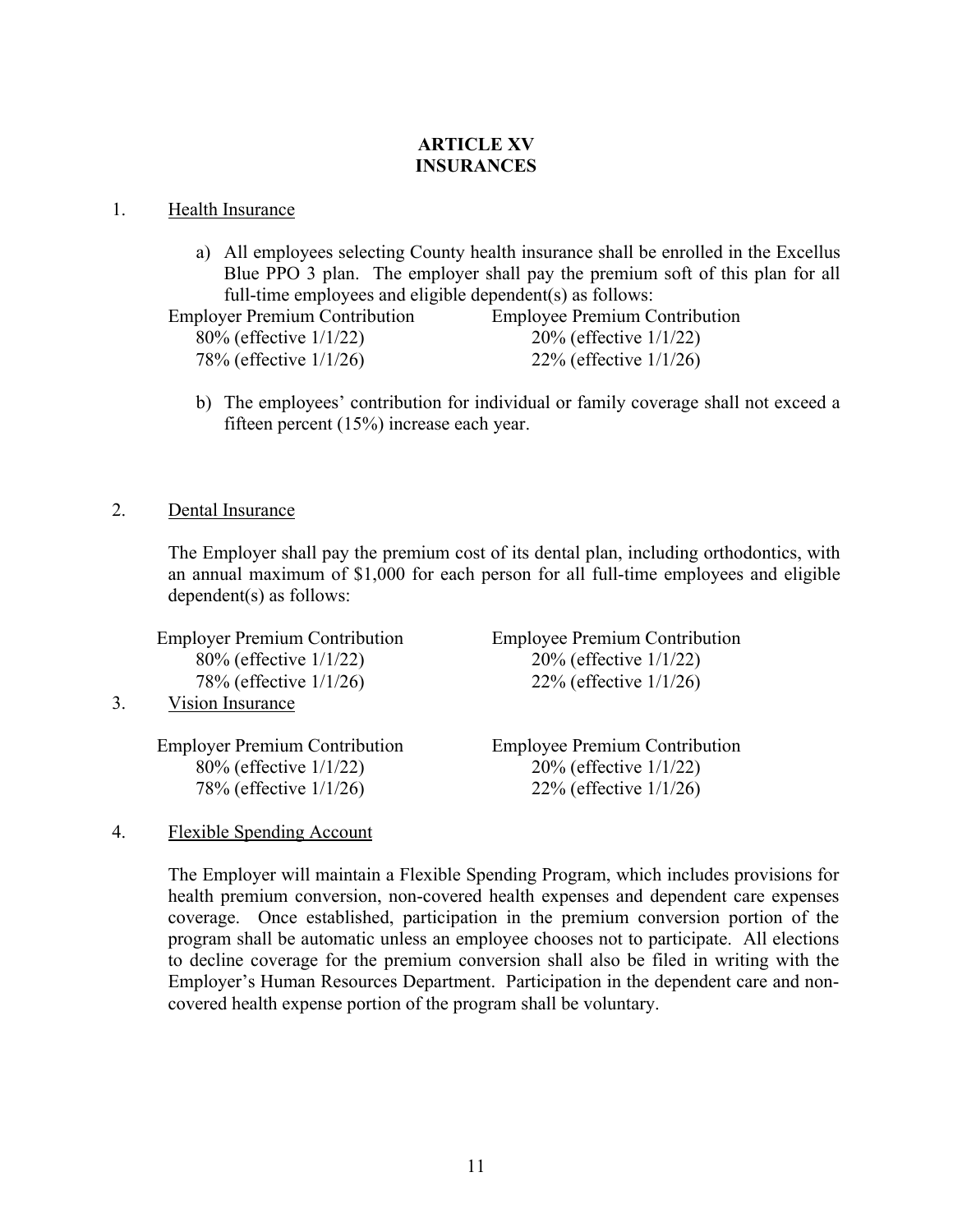# **ARTICLE XV INSURANCES**

#### 1. Health Insurance

a) All employees selecting County health insurance shall be enrolled in the Excellus Blue PPO 3 plan. The employer shall pay the premium soft of this plan for all full-time employees and eligible dependent(s) as follows:

Employer Premium Contribution Employee Premium Contribution 80% (effective 1/1/22) 20% (effective 1/1/22) 78% (effective 1/1/26) 22% (effective 1/1/26)

b) The employees' contribution for individual or family coverage shall not exceed a fifteen percent (15%) increase each year.

# 2. Dental Insurance

 The Employer shall pay the premium cost of its dental plan, including orthodontics, with an annual maximum of \$1,000 for each person for all full-time employees and eligible dependent(s) as follows:

|    | <b>Employer Premium Contribution</b> | <b>Employee Premium Contribution</b> |
|----|--------------------------------------|--------------------------------------|
|    | 80% (effective 1/1/22)               | 20% (effective 1/1/22)               |
|    | 78% (effective 1/1/26)               | 22% (effective $1/1/26$ )            |
| 3. | Vision Insurance                     |                                      |
|    |                                      |                                      |
|    | <b>Employer Premium Contribution</b> | <b>Employee Premium Contribution</b> |
|    | 80% (effective 1/1/22)               | 20% (effective 1/1/22)               |
|    | 78% (effective 1/1/26)               | 22% (effective $1/1/26$ )            |

# 4. Flexible Spending Account

The Employer will maintain a Flexible Spending Program, which includes provisions for health premium conversion, non-covered health expenses and dependent care expenses coverage. Once established, participation in the premium conversion portion of the program shall be automatic unless an employee chooses not to participate. All elections to decline coverage for the premium conversion shall also be filed in writing with the Employer's Human Resources Department. Participation in the dependent care and noncovered health expense portion of the program shall be voluntary.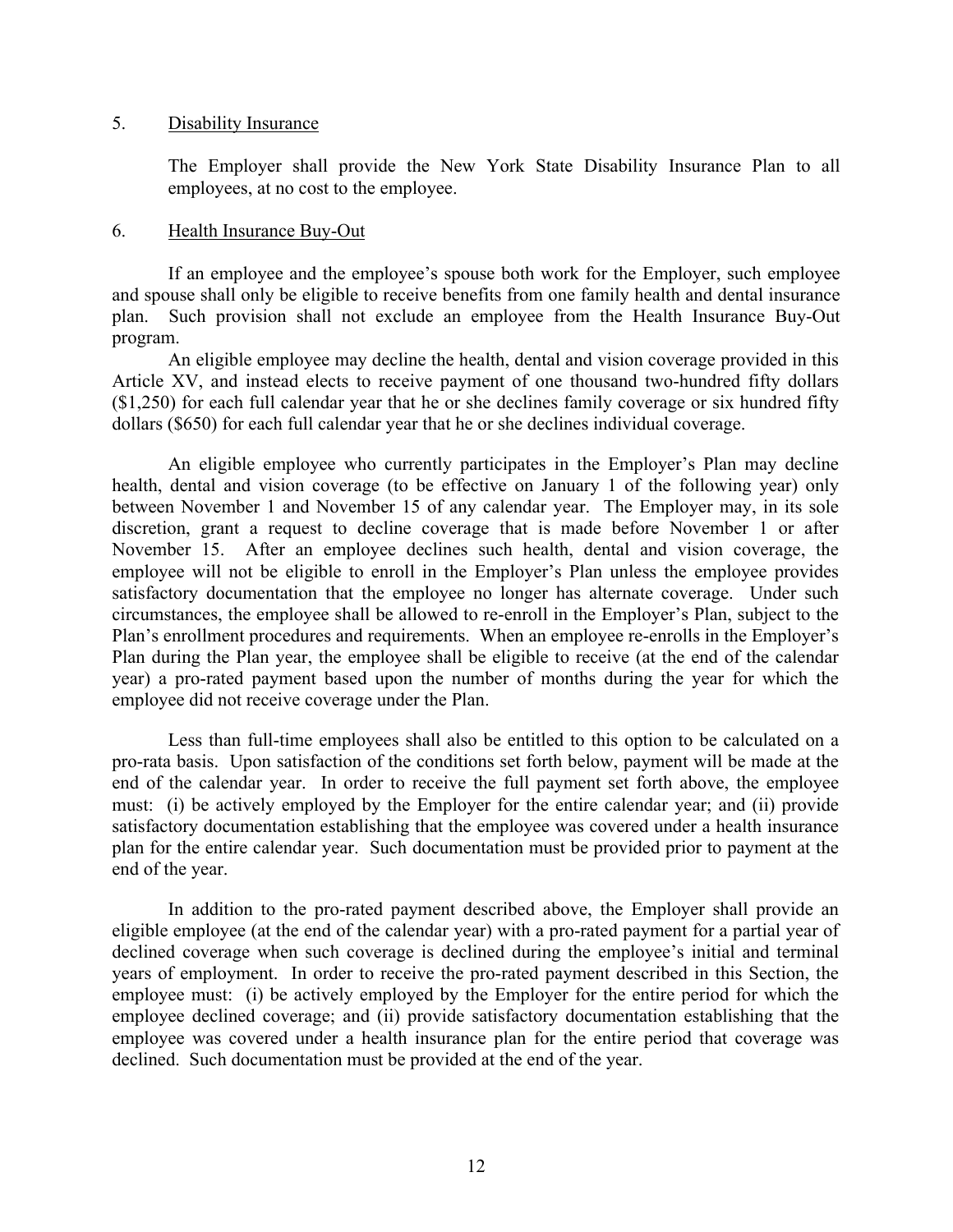#### 5. Disability Insurance

The Employer shall provide the New York State Disability Insurance Plan to all employees, at no cost to the employee.

#### 6. Health Insurance Buy-Out

 If an employee and the employee's spouse both work for the Employer, such employee and spouse shall only be eligible to receive benefits from one family health and dental insurance plan. Such provision shall not exclude an employee from the Health Insurance Buy-Out program.

 An eligible employee may decline the health, dental and vision coverage provided in this Article XV, and instead elects to receive payment of one thousand two-hundred fifty dollars (\$1,250) for each full calendar year that he or she declines family coverage or six hundred fifty dollars (\$650) for each full calendar year that he or she declines individual coverage.

 An eligible employee who currently participates in the Employer's Plan may decline health, dental and vision coverage (to be effective on January 1 of the following year) only between November 1 and November 15 of any calendar year. The Employer may, in its sole discretion, grant a request to decline coverage that is made before November 1 or after November 15. After an employee declines such health, dental and vision coverage, the employee will not be eligible to enroll in the Employer's Plan unless the employee provides satisfactory documentation that the employee no longer has alternate coverage. Under such circumstances, the employee shall be allowed to re-enroll in the Employer's Plan, subject to the Plan's enrollment procedures and requirements. When an employee re-enrolls in the Employer's Plan during the Plan year, the employee shall be eligible to receive (at the end of the calendar year) a pro-rated payment based upon the number of months during the year for which the employee did not receive coverage under the Plan.

 Less than full-time employees shall also be entitled to this option to be calculated on a pro-rata basis. Upon satisfaction of the conditions set forth below, payment will be made at the end of the calendar year. In order to receive the full payment set forth above, the employee must: (i) be actively employed by the Employer for the entire calendar year; and (ii) provide satisfactory documentation establishing that the employee was covered under a health insurance plan for the entire calendar year. Such documentation must be provided prior to payment at the end of the year.

 In addition to the pro-rated payment described above, the Employer shall provide an eligible employee (at the end of the calendar year) with a pro-rated payment for a partial year of declined coverage when such coverage is declined during the employee's initial and terminal years of employment. In order to receive the pro-rated payment described in this Section, the employee must: (i) be actively employed by the Employer for the entire period for which the employee declined coverage; and (ii) provide satisfactory documentation establishing that the employee was covered under a health insurance plan for the entire period that coverage was declined. Such documentation must be provided at the end of the year.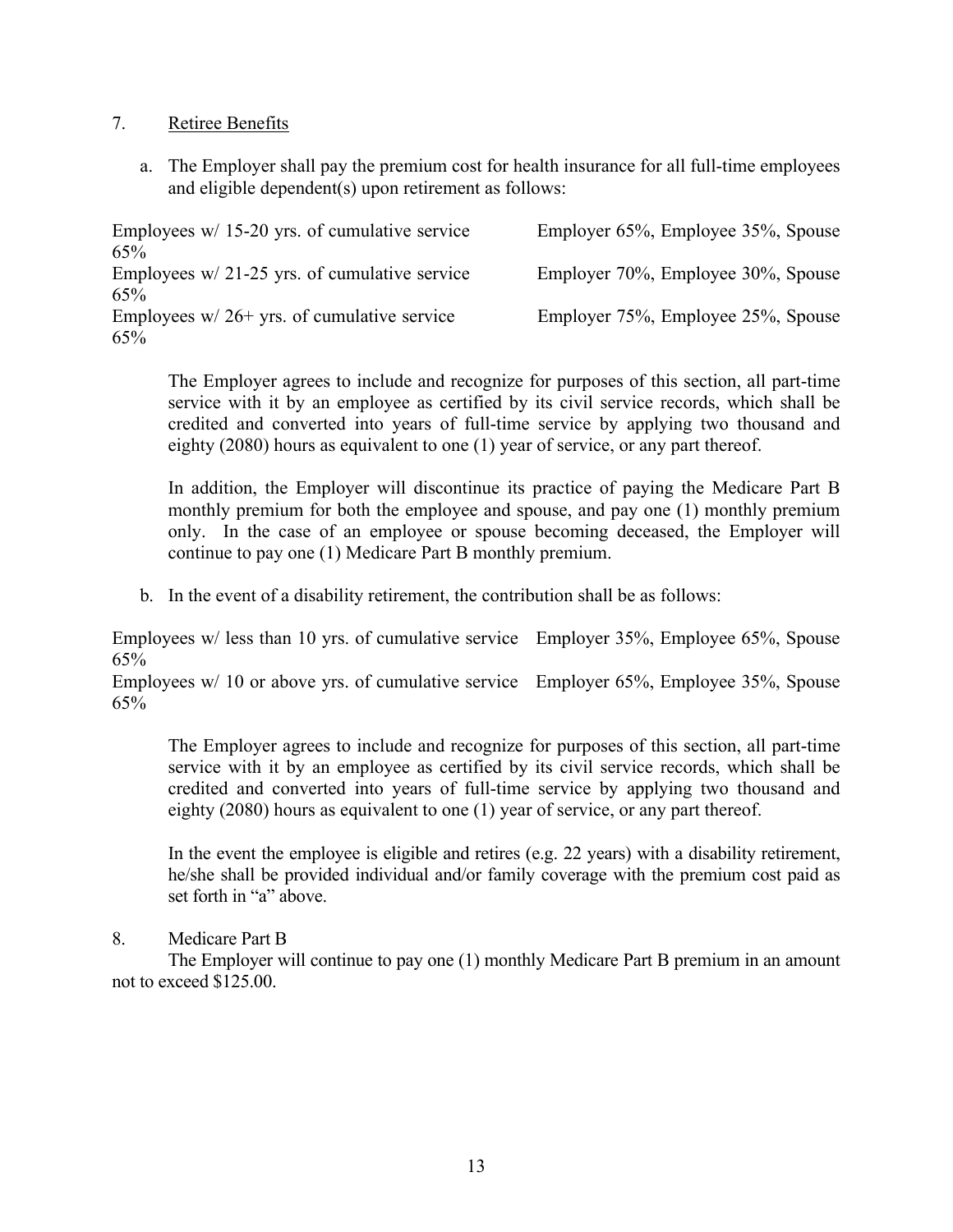# 7. Retiree Benefits

a. The Employer shall pay the premium cost for health insurance for all full-time employees and eligible dependent(s) upon retirement as follows:

| Employees $w/$ 15-20 yrs. of cumulative service | Employer 65%, Employee 35%, Spouse |
|-------------------------------------------------|------------------------------------|
| 65%                                             |                                    |
| Employees $w/21-25$ yrs. of cumulative service  | Employer 70%, Employee 30%, Spouse |
| 65%                                             |                                    |
| Employees $w/26$ + yrs. of cumulative service   | Employer 75%, Employee 25%, Spouse |
| 65%                                             |                                    |

The Employer agrees to include and recognize for purposes of this section, all part-time service with it by an employee as certified by its civil service records, which shall be credited and converted into years of full-time service by applying two thousand and eighty (2080) hours as equivalent to one (1) year of service, or any part thereof.

In addition, the Employer will discontinue its practice of paying the Medicare Part B monthly premium for both the employee and spouse, and pay one (1) monthly premium only. In the case of an employee or spouse becoming deceased, the Employer will continue to pay one (1) Medicare Part B monthly premium.

b. In the event of a disability retirement, the contribution shall be as follows:

Employees w/ less than 10 yrs. of cumulative service Employer 35%, Employee 65%, Spouse 65%

Employees w/ 10 or above yrs. of cumulative service Employer 65%, Employee 35%, Spouse 65%

The Employer agrees to include and recognize for purposes of this section, all part-time service with it by an employee as certified by its civil service records, which shall be credited and converted into years of full-time service by applying two thousand and eighty (2080) hours as equivalent to one (1) year of service, or any part thereof.

In the event the employee is eligible and retires (e.g. 22 years) with a disability retirement, he/she shall be provided individual and/or family coverage with the premium cost paid as set forth in "a" above.

# 8. Medicare Part B

 The Employer will continue to pay one (1) monthly Medicare Part B premium in an amount not to exceed \$125.00.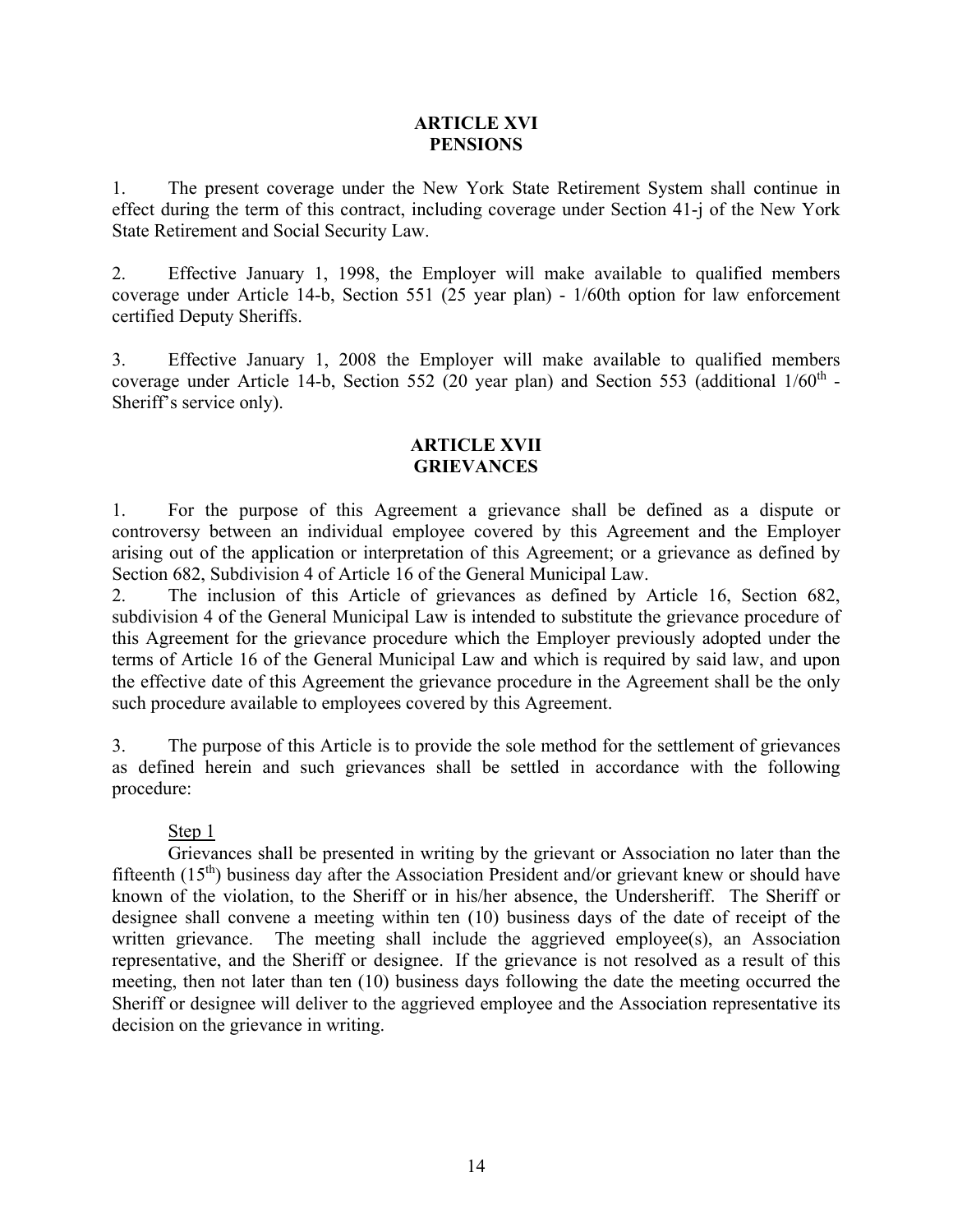#### **ARTICLE XVI PENSIONS**

1. The present coverage under the New York State Retirement System shall continue in effect during the term of this contract, including coverage under Section 41-j of the New York State Retirement and Social Security Law.

2. Effective January 1, 1998, the Employer will make available to qualified members coverage under Article 14-b, Section 551 (25 year plan) - 1/60th option for law enforcement certified Deputy Sheriffs.

3. Effective January 1, 2008 the Employer will make available to qualified members coverage under Article 14-b, Section 552 (20 year plan) and Section 553 (additional  $1/60<sup>th</sup>$  -Sheriff's service only).

#### **ARTICLE XVII GRIEVANCES**

1. For the purpose of this Agreement a grievance shall be defined as a dispute or controversy between an individual employee covered by this Agreement and the Employer arising out of the application or interpretation of this Agreement; or a grievance as defined by Section 682, Subdivision 4 of Article 16 of the General Municipal Law.

2. The inclusion of this Article of grievances as defined by Article 16, Section 682, subdivision 4 of the General Municipal Law is intended to substitute the grievance procedure of this Agreement for the grievance procedure which the Employer previously adopted under the terms of Article 16 of the General Municipal Law and which is required by said law, and upon the effective date of this Agreement the grievance procedure in the Agreement shall be the only such procedure available to employees covered by this Agreement.

3. The purpose of this Article is to provide the sole method for the settlement of grievances as defined herein and such grievances shall be settled in accordance with the following procedure:

# Step 1

 Grievances shall be presented in writing by the grievant or Association no later than the fifteenth  $(15<sup>th</sup>)$  business day after the Association President and/or grievant knew or should have known of the violation, to the Sheriff or in his/her absence, the Undersheriff. The Sheriff or designee shall convene a meeting within ten (10) business days of the date of receipt of the written grievance. The meeting shall include the aggrieved employee(s), an Association representative, and the Sheriff or designee. If the grievance is not resolved as a result of this meeting, then not later than ten (10) business days following the date the meeting occurred the Sheriff or designee will deliver to the aggrieved employee and the Association representative its decision on the grievance in writing.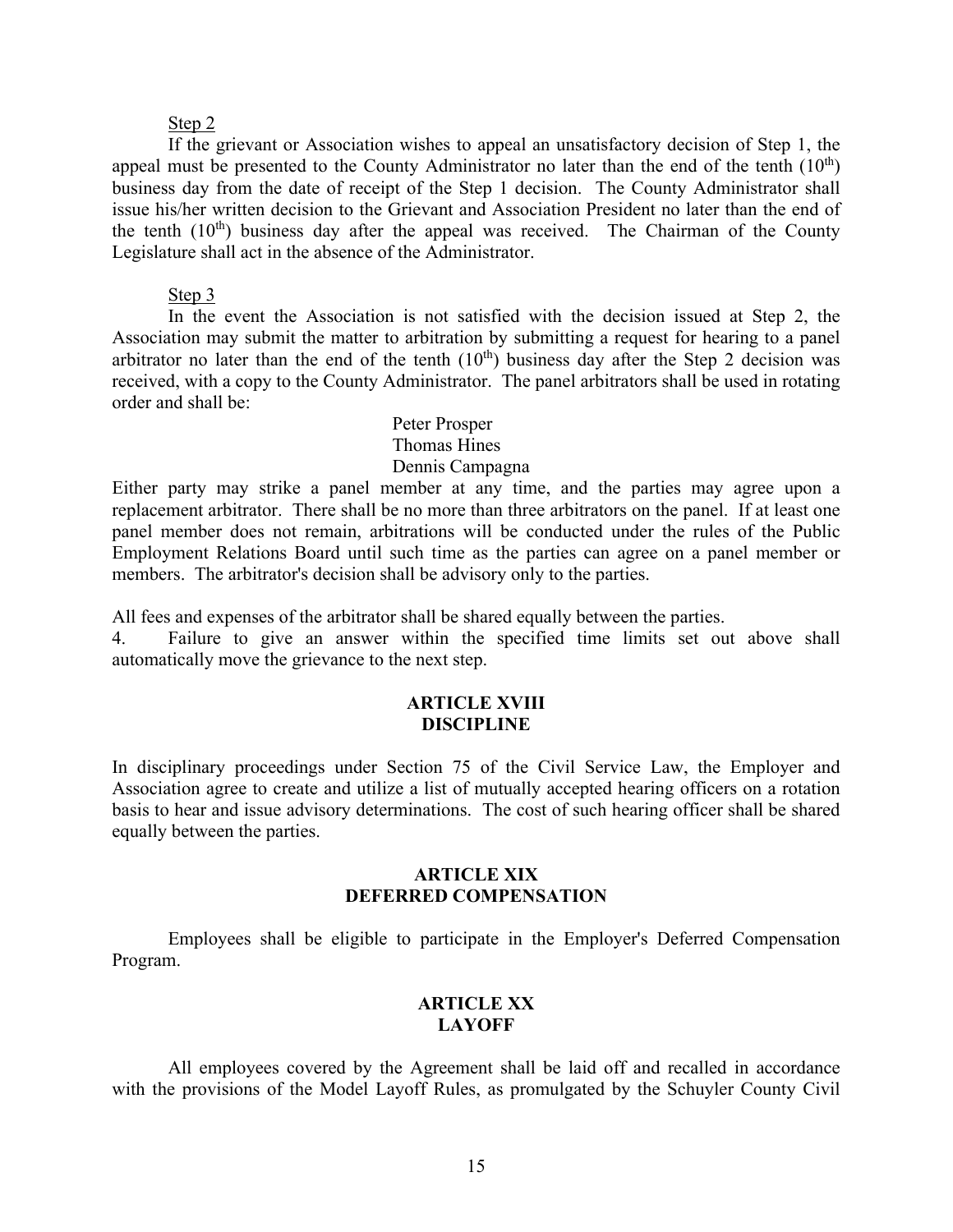#### Step 2

 If the grievant or Association wishes to appeal an unsatisfactory decision of Step 1, the appeal must be presented to the County Administrator no later than the end of the tenth  $(10<sup>th</sup>)$ business day from the date of receipt of the Step 1 decision. The County Administrator shall issue his/her written decision to the Grievant and Association President no later than the end of the tenth  $(10<sup>th</sup>)$  business day after the appeal was received. The Chairman of the County Legislature shall act in the absence of the Administrator.

#### Step 3

 In the event the Association is not satisfied with the decision issued at Step 2, the Association may submit the matter to arbitration by submitting a request for hearing to a panel arbitrator no later than the end of the tenth  $(10<sup>th</sup>)$  business day after the Step 2 decision was received, with a copy to the County Administrator. The panel arbitrators shall be used in rotating order and shall be:

#### Peter Prosper Thomas Hines Dennis Campagna

Either party may strike a panel member at any time, and the parties may agree upon a replacement arbitrator. There shall be no more than three arbitrators on the panel. If at least one panel member does not remain, arbitrations will be conducted under the rules of the Public Employment Relations Board until such time as the parties can agree on a panel member or members. The arbitrator's decision shall be advisory only to the parties.

All fees and expenses of the arbitrator shall be shared equally between the parties.

4. Failure to give an answer within the specified time limits set out above shall automatically move the grievance to the next step.

#### **ARTICLE XVIII DISCIPLINE**

In disciplinary proceedings under Section 75 of the Civil Service Law, the Employer and Association agree to create and utilize a list of mutually accepted hearing officers on a rotation basis to hear and issue advisory determinations. The cost of such hearing officer shall be shared equally between the parties.

#### **ARTICLE XIX DEFERRED COMPENSATION**

 Employees shall be eligible to participate in the Employer's Deferred Compensation Program.

# **ARTICLE XX LAYOFF**

 All employees covered by the Agreement shall be laid off and recalled in accordance with the provisions of the Model Layoff Rules, as promulgated by the Schuyler County Civil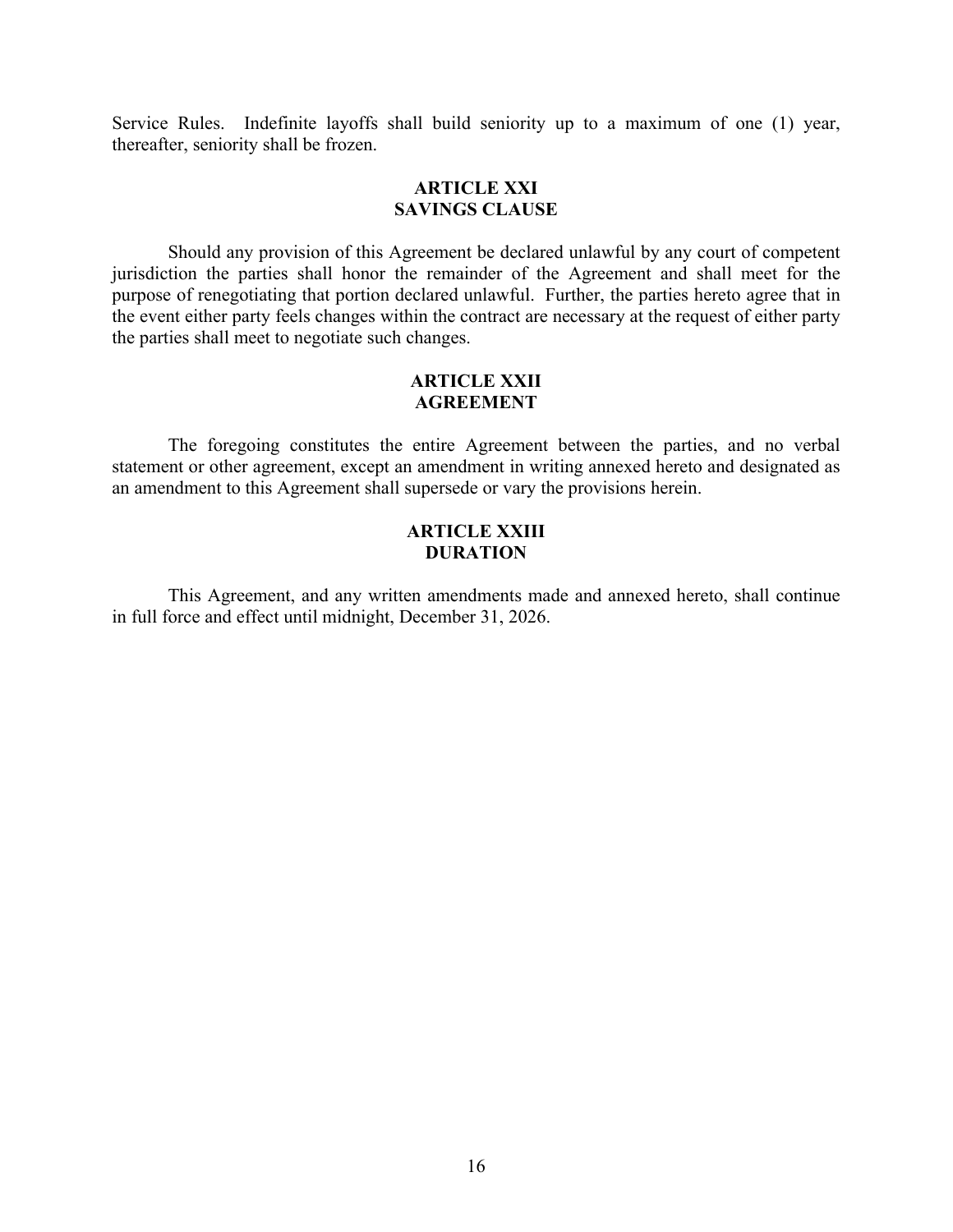Service Rules. Indefinite layoffs shall build seniority up to a maximum of one (1) year, thereafter, seniority shall be frozen.

#### **ARTICLE XXI SAVINGS CLAUSE**

 Should any provision of this Agreement be declared unlawful by any court of competent jurisdiction the parties shall honor the remainder of the Agreement and shall meet for the purpose of renegotiating that portion declared unlawful. Further, the parties hereto agree that in the event either party feels changes within the contract are necessary at the request of either party the parties shall meet to negotiate such changes.

#### **ARTICLE XXII AGREEMENT**

 The foregoing constitutes the entire Agreement between the parties, and no verbal statement or other agreement, except an amendment in writing annexed hereto and designated as an amendment to this Agreement shall supersede or vary the provisions herein.

# **ARTICLE XXIII DURATION**

 This Agreement, and any written amendments made and annexed hereto, shall continue in full force and effect until midnight, December 31, 2026.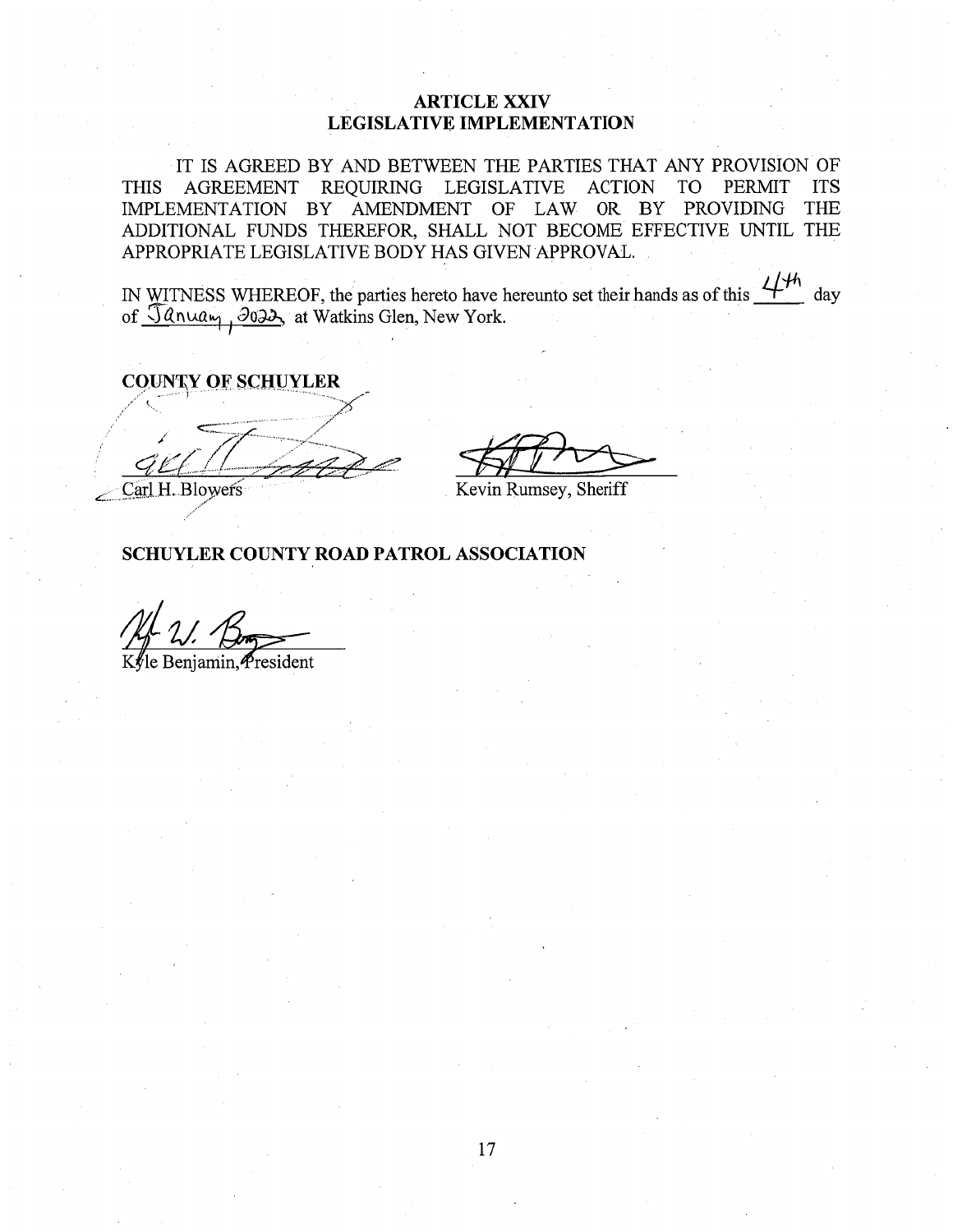# **ARTICLE XXIV LEGISLATIVE IMPLEMENTATION**

IT IS AGREED BY AND BETWEEN THE PARTIES THAT ANY PROVISION OF **THIS** AGREEMENT REQUIRING LEGISLATIVE ACTION TO **PERMIT ITS** IMPLEMENTATION BY AMENDMENT OF LAW OR BY PROVIDING **THE** ADDITIONAL FUNDS THEREFOR, SHALL NOT BECOME EFFECTIVE UNTIL THE APPROPRIATE LEGISLATIVE BODY HAS GIVEN APPROVAL.

IN WITNESS WHEREOF, the parties hereto have hereunto set their hands as of this  $\frac{47h}{4}$  day of January, 3022, at Watkins Glen, New York.

**COUNTY OF SCHUYLER** 

Carl H. Blowers

Kevin Rumsey, Sheriff

SCHUYLER COUNTY ROAD PATROL ASSOCIATION

Benjamin. President